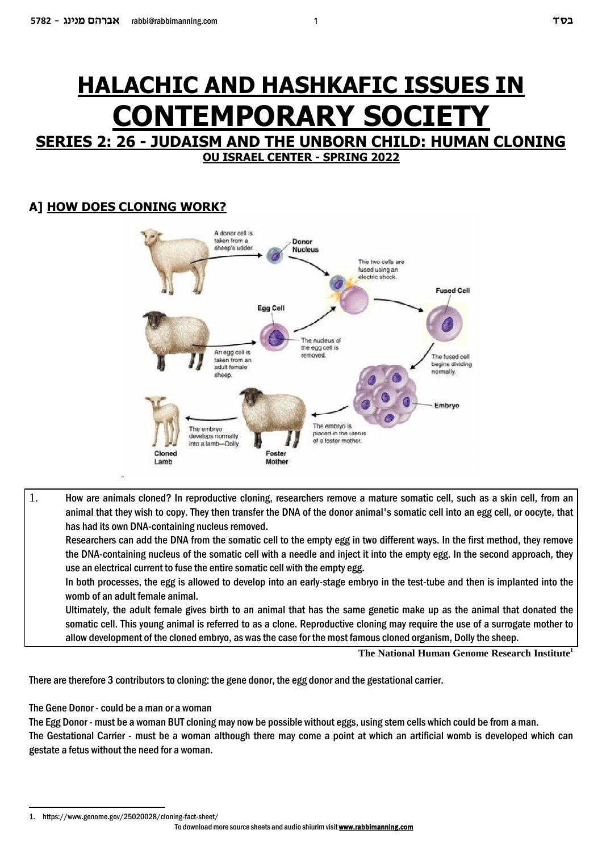# **HALACHIC AND HASHKAFIC ISSUES IN CONTEMPORARY SOCIETY**

# **SERIES 2: 26 - JUDAISM AND THE UNBORN CHILD: HUMAN CLONING OU ISRAEL CENTER - SPRING 2022**

# **HOW DOES CLONING WORK? A]**



1. How are animals cloned? In reproductive cloning, researchers remove a mature somatic cell, such as a skin cell, from an animal that they wish to copy. They then transfer the DNA of the donor animal's somatic cell into an egg cell, or oocyte, that has had its own DNA-containing nucleus removed.

Researchers can add the DNA from the somatic cell to the empty egg in two different ways. In the first method, they remove the DNA-containing nucleus of the somatic cell with a needle and inject it into the empty egg. In the second approach, they use an electrical current to fuse the entire somatic cell with the empty egg.

In both processes, the egg is allowed to develop into an early-stage embryo in the test-tube and then is implanted into the womb of an adult female animal.

Ultimately, the adult female gives birth to an animal that has the same genetic make up as the animal that donated the somatic cell. This young animal is referred to as a clone. Reproductive cloning may require the use of a surrogate mother to allow development of the cloned embryo, as was the case for the most famous cloned organism, Dolly the sheep.

**The National Human Genome Research Institute<sup>1</sup>**

There are therefore 3 contributors to cloning: the gene donor, the egg donor and the gestational carrier.

The Gene Donor - could be a man or a woman

The Egg Donor - must be a woman BUT cloning may now be possible without eggs, using stem cells which could be from a man.

The Gestational Carrier - must be a woman although there may come a point at which an artificial womb is developed which can gestate a fetus without the need for a woman.

<sup>1.</sup> https://www.genome.gov/25020028/cloning-fact-sheet/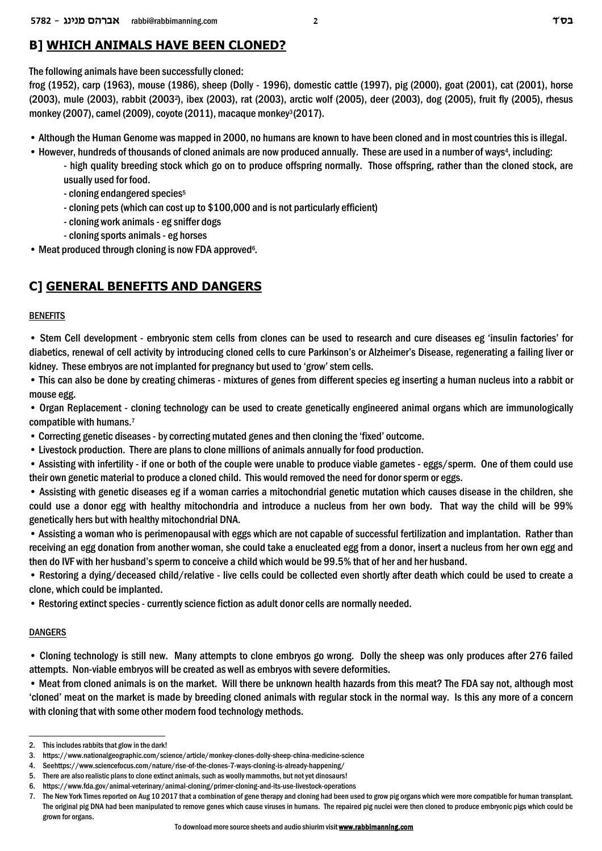# **B] WHICH ANIMALS HAVE BEEN CLONED?**

The following animals have been successfully cloned:

frog (1952), carp (1963), mouse (1986), sheep (Dolly - 1996), domestic cattle (1997), pig (2000), goat (2001), cat (2001), horse (2003), mule (2003), rabbit (2003<sup>2</sup>), ibex (2003), rat (2003), arctic wolf (2005), deer (2003), dog (2005), fruit fly (2005), rhesus monkey (2007), camel (2009), coyote (2011), macaque monkey<sup>3</sup>(2017).

- Although the Human Genome was mapped in 2000, no humans are known to have been cloned and in most countries this is illegal.
- However, hundreds of thousands of cloned animals are now produced annually. These are used in a number of ways<sup>4</sup>, including:
	- high quality breeding stock which go on to produce offspring normally. Those offspring, rather than the cloned stock, are usually used for food.
	- cloning endangered species<sup>5</sup>
	- cloning pets (which can cost up to \$100,000 and is not particularly efficient)
	- cloning work animals eg sniffer dogs
	- cloning sports animals eg horses
- Meat produced through cloning is now FDA approved<sup>6</sup>.

# **C] GENERAL BENEFITS AND DANGERS**

#### BENEFITS

• Stem Cell development - embryonic stem cells from clones can be used to research and cure diseases eg 'insulin factories' for diabetics, renewal of cell activity by introducing cloned cells to cure Parkinson's or Alzheimer's Disease, regenerating a failing liver or kidney. These embryos are not implanted for pregnancy but used to 'grow' stem cells.

• This can also be done by creating chimeras - mixtures of genes from different species eg inserting a human nucleus into a rabbit or mouse egg.

• Organ Replacement - cloning technology can be used to create genetically engineered animal organs which are immunologically compatible with humans.<sup>7</sup>

- Correcting genetic diseases by correcting mutated genes and then cloning the 'fixed' outcome.
- Livestock production. There are plans to clone millions of animals annually for food production.
- Assisting with infertility if one or both of the couple were unable to produce viable gametes eggs/sperm. One of them could use their own genetic material to produce a cloned child. This would removed the need for donor sperm or eggs.

• Assisting with genetic diseases eg if a woman carries a mitochondrial genetic mutation which causes disease in the children, she could use a donor egg with healthy mitochondria and introduce a nucleus from her own body. That way the child will be 99% genetically hers but with healthy mitochondrial DNA.

• Assisting a woman who is perimenopausal with eggs which are not capable of successful fertilization and implantation. Rather than receiving an egg donation from another woman, she could take a enucleated egg from a donor, insert a nucleus from her own egg and then do IVF with her husband's sperm to conceive a child which would be 99.5% that of her and her husband.

• Restoring a dying/deceased child/relative - live cells could be collected even shortly after death which could be used to create a clone, which could be implanted.

• Restoring extinct species - currently science fiction as adult donor cells are normally needed.

### DANGERS

• Cloning technology is still new. Many attempts to clone embryos go wrong. Dolly the sheep was only produces after 276 failed attempts. Non-viable embryos will be created as well as embryos with severe deformities.

• Meat from cloned animals is on the market. Will there be unknown health hazards from this meat? The FDA say not, although most 'cloned' meat on the market is made by breeding cloned animals with regular stock in the normal way. Is this any more of a concern with cloning that with some other modern food technology methods.

<sup>2.</sup> This includes rabbits that glow in the dark!

<sup>3.</sup> https://www.nationalgeographic.com/science/article/monkey-clones-dolly-sheep-china-medicine-science

<sup>4.</sup> See https://www.sciencefocus.com/nature/rise-of-the-clones-7-ways-cloning-is-already-happening/

<sup>5.</sup> There are also realistic plans to clone extinct animals, such as woolly mammoths, but not yet dinosaurs!

<sup>6.</sup> https://www.fda.gov/animal-veterinary/animal-cloning/primer-cloning-and-its-use-livestock-operations

<sup>7.</sup> The New York Times reported on Aug 10 2017 that a combination of gene therapy and cloning had been used to grow pig organs which were more compatible for human transplant. The original pig DNA had been manipulated to remove genes which cause viruses in humans. The repaired pig nuclei were then cloned to produce embryonic pigs which could be grown for organs.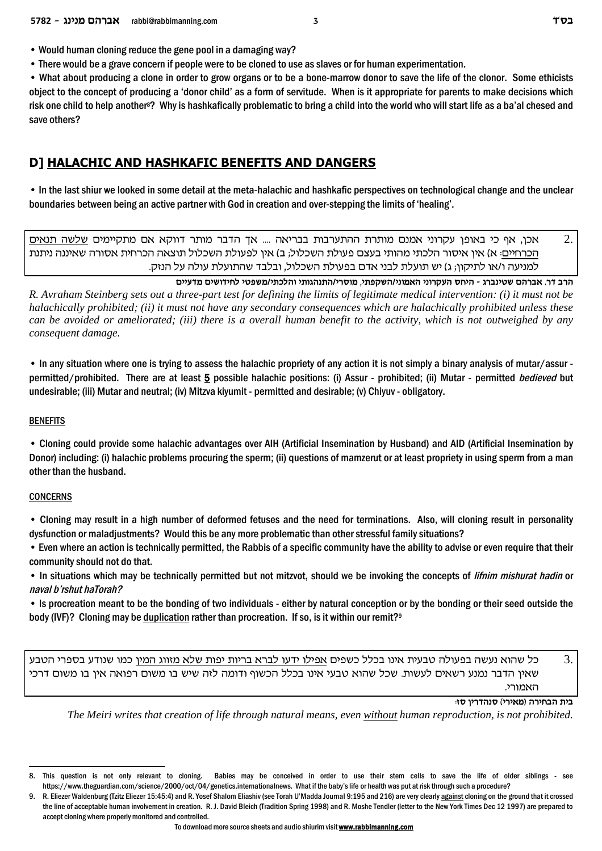• There would be a grave concern if people were to be cloned to use as slaves or for human experimentation.

• What about producing a clone in order to grow organs or to be a bone-marrow donor to save the life of the clonor. Some ethicists object to the concept of producing a 'donor child' as a form of servitude. When is it appropriate for parents to make decisions which risk one child to help another<sup>8</sup>? Why is hashkafically problematic to bring a child into the world who will start life as a ba'al chesed and save others?

# **D] HALACHIC AND HASHKAFIC BENEFITS AND DANGERS**

• In the last shiur we looked in some detail at the meta-halachic and hashkafic perspectives on technological change and the unclear boundaries between being an active partner with God in creation and over-stepping the limits of 'healing'.

 $\overline{2}$ אכן, אף כי באופן עקרוני אמנם מותרת ההתערבות בבריאה .... אך הדבר מותר דווקא אם מתקיימים שלשה תנאים הכרחיים: א) אין איסור הלכתי מהותי בעצם פעולת השכלול; ב) אין לפעולת השכלול תוצאה הכרחית אסורה שאיננה ניתנת למניעה ו/או לתיקון; ג) יש תועלת לבני אדם בפעולת השכלול, ובלבד שהתועלת עולה על הנזק.

הרב דר. אברהם שטינברג - היחס העקרוני האמוני/השקפתי, מוסרי/התנהגותי והלכתי/משפטי לחידושים מדעיים

R. Avraham Steinberg sets out a three-part test for defining the limits of legitimate medical intervention: (i) it must not be halachically prohibited; (ii) it must not have any secondary consequences which are halachically prohibited unless these can be avoided or ameliorated; (iii) there is a overall human benefit to the activity, which is not outweighed by any consequent damage.

• In any situation where one is trying to assess the halachic propriety of any action it is not simply a binary analysis of mutar/assur permitted/prohibited. There are at least 5 possible halachic positions: (i) Assur - prohibited; (ii) Mutar - permitted bedieved but undesirable; (iii) Mutar and neutral; (iv) Mitzva kiyumit - permitted and desirable; (v) Chiyuv - obligatory.

#### **BENEFITS**

• Cloning could provide some halachic advantages over AIH (Artificial Insemination by Husband) and AID (Artificial Insemination by Donor) including: (i) halachic problems procuring the sperm; (ii) questions of mamzerut or at least propriety in using sperm from a man other than the husband.

### **CONCERNS**

• Cloning may result in a high number of deformed fetuses and the need for terminations. Also, will cloning result in personality dysfunction or maladjustments? Would this be any more problematic than other stressful family situations?

• Even where an action is technically permitted, the Rabbis of a specific community have the ability to advise or even require that their community should not do that.

• In situations which may be technically permitted but not mitzvot, should we be invoking the concepts of *lifnim mishurat hadin* or naval b'rshut haTorah?

• Is procreation meant to be the bonding of two individuals - either by natural conception or by the bonding or their seed outside the body (IVF)? Cloning may be duplication rather than procreation. If so, is it within our remit?<sup>9</sup>

3. כל שהוא נעשה בפעולה טבעית אינו בכלל כשפים אפילו ידעו לברא בריות יפות שלא מזווג המין כמו שנודע בספרי הטבע שאין הדבר נמנע רשאים לעשות. שכל שהוא טבעי אינו בכלל הכשוף ודומה לזה שיש בו משום רפואה אין בו משום דרכי האמורי.

בית הבחירה (מאירי) סנהדרין סז:

The Meiri writes that creation of life through natural means, even without human reproduction, is not prohibited,

<sup>8.</sup> This question is not only relevant to cloning. Babies may be conceived in order to use their stem cells to save the life of older siblings - see https://www.theguardian.com/science/2000/oct/04/genetics.internationalnews. What if the baby's life or health was put at risk through such a procedure?

<sup>9.</sup> R. Eliezer Waldenburg (Tzitz Eliezer 15:45:4) and R. Yosef Shalom Eliashiv (see Torah U'Madda Journal 9:195 and 216) are very clearly against cloning on the ground that it crossed the line of acceptable human involvement in creation. R. J. David Bleich (Tradition Spring 1998) and R. Moshe Tendler (letter to the New York Times Dec 12 1997) are prepared to accept cloning where properly monitored and controlled.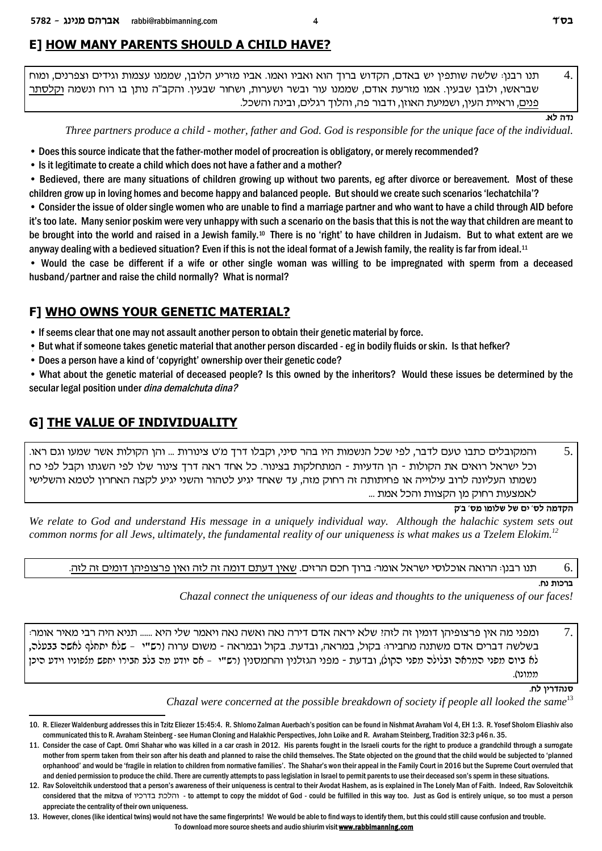# E] HOW MANY PARENTS SHOULD A CHILD HAVE?

תנו רבנן<sup>,</sup> שלשה שותפין יש באדם, הקדוש ברוך הוא ואביו ואמו. אביו מזריע הלובו, שממנו עצמות וגידים וצפרנים. ומוח  $\overline{A}$ שבראשו, ולובן שבעין. אמו מזרעת אודם, שממנו עור ובשר ושערות, ושחור שבעין. והקב"ה נותן בו רוח ונשמה וקלסתר <u>פנים,</u> וראיית העין, ושמיעת האוזן, ודבור פה, והלוך רגלים, ובינה והשכל.

 $N$ ודה לא

Three partners produce a child - mother, father and God. God is responsible for the unique face of the individual.

- Does this source indicate that the father-mother model of procreation is obligatory, or merely recommended?
- Is it legitimate to create a child which does not have a father and a mother?

• Bedieved, there are many situations of children growing up without two parents, eg after divorce or bereavement. Most of these children grow up in loving homes and become happy and balanced people. But should we create such scenarios 'lechatchila'?

• Consider the issue of older single women who are unable to find a marriage partner and who want to have a child through AID before it's too late. Many senior poskim were very unhappy with such a scenario on the basis that this is not the way that children are meant to be brought into the world and raised in a Jewish family.<sup>10</sup> There is no 'right' to have children in Judaism. But to what extent are we anyway dealing with a bedieved situation? Even if this is not the ideal format of a Jewish family, the reality is far from ideal.<sup>11</sup>

• Would the case be different if a wife or other single woman was willing to be impregnated with sperm from a deceased husband/partner and raise the child normally? What is normal?

# F] WHO OWNS YOUR GENETIC MATERIAL?

• If seems clear that one may not assault another person to obtain their genetic material by force.

- But what if someone takes genetic material that another person discarded eg in bodily fluids or skin. Is that hefker?
- Does a person have a kind of 'copyright' ownership over their genetic code?

• What about the genetic material of deceased people? Is this owned by the inheritors? Would these issues be determined by the secular legal position under dina demalchuta dina?

# **G] THE VALUE OF INDIVIDUALITY**

והמקובלים כתבו טעם לדבר, לפי שכל הנשמות היו בהר סיני, וקבלו דרך מ'ט צינורות … והן הקולות אשר שמעו וגם ראו. 5. וכל ישראל רואים את הקולות - הן הדעיות - המתחלקות בצינור. כל אחד ראה דרך צינור שלו לפי השגתו וקבל לפי כח נשמתו העליונה לרוב עילוייה או פחיתותה זה רחוק מזה, עד שאחד יגיע לטהור והשני יגיע לקצה האחרון לטמא והשלישי לאמצעות רחוק מו הקצוות והכל אמת ...

#### הקדמה לס' ים של שלומו מס' ב'ק

We relate to God and understand His message in a uniquely individual way. Although the halachic system sets out common norms for all Jews, ultimately, the fundamental reality of our uniqueness is what makes us a Tzelem Elokim.<sup>12</sup>

#### תנו רבנן: הרואה אוכלוסי ישראל אומר: ברוך חכם הרזים. שאין דעתם דומה זה לזה ואין פרצופיהן דומים זה לזה. 6.

### ברכות נח.

Chazal connect the uniqueness of our ideas and thoughts to the uniqueness of our faces!

7. ומפני מה אין פרצופיהן דומין זה לזהי שלא יראה אדם דירה נאה ואשה נאה ויאמר שלי היא ...... תניא היה רבי מאיר אומר: בשלשה דברים אדם משתנה מחבירו: בקול, במראה, ובדעת. בקול ובמראה - משום ערוה (רפ"י – פלא יתתלף לאפר ננעלר, לא ביום מפני המראה ובלילה מפני הקול), ובדעת - מפני הגזלנין והחמסנין (רש"י – אם יודע מה בלב חבירו יחפש מלפוניו וידע היכן ממוכו).

סנהדריו לח.

Chazal were concerned at the possible breakdown of society if people all looked the same<sup>13</sup>

To download more source sheets and audio shiurim visit www.rabbimanning.com

<sup>10.</sup> R. Eliezer Waldenburg addresses this in Tzitz Eliezer 15:45:4. R. Shlomo Zalman Auerbach's position can be found in Nishmat Avraham Vol 4, EH 1:3. R. Yosef Sholom Eliashiv also communicated this to R. Avraham Steinberg - see Human Cloning and Halakhic Perspectives, John Loike and R. Avraham Steinberg, Tradition 32:3 p46 n. 35.

<sup>11.</sup> Consider the case of Capt. Omri Shahar who was killed in a car crash in 2012. His parents fought in the Israeli courts for the right to produce a grandchild through a surrogate mother from sperm taken from their son after his death and planned to raise the child themselves. The State objected on the ground that the child would be subjected to 'planned orphanhood' and would be 'fragile in relation to children from normative families'. The Shahar's won their appeal in the Family Court in 2016 but the Supreme Court overruled that and denied permission to produce the child. There are currently attempts to pass legislation in Israel to permit parents to use their deceased son's sperm in these situations.

<sup>12.</sup> Rav Soloveitchik understood that a person's awareness of their uniqueness is central to their Avodat Hashem, as is explained in The Lonely Man of Faith. Indeed, Rav Soloveitchik considered that the mitzva of יהלכת בדרכיו to attempt to copy the middot of God - could be fulfilled in this way too. Just as God is entirely unique, so too must a person appreciate the centrality of their own uniqueness.

<sup>13.</sup> However, clones (like identical twins) would not have the same fingerprints! We would be able to find ways to identify them, but this could still cause confusion and trouble.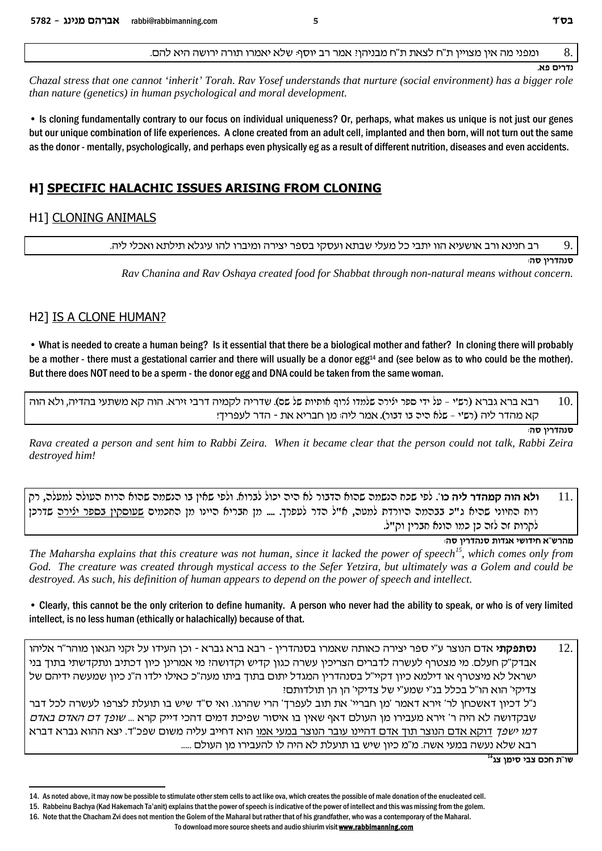ומפני מה אין מצויין ת"ח לצאת ת"ח מבניהן: אמר רב יוסף: שלא יאמרו תורה ירושה היא להם.

 $\mathbf{R}$ 

Chazal stress that one cannot 'inherit' Torah. Ray Yosef understands that nurture (social environment) has a bigger role than nature (genetics) in human psychological and moral development.

5

• Is cloning fundamentally contrary to our focus on individual uniqueness? Or, perhaps, what makes us unique is not just our genes but our unique combination of life experiences. A clone created from an adult cell, implanted and then born, will not turn out the same as the donor - mentally, psychologically, and perhaps even physically eg as a result of different nutrition, diseases and even accidents.

# H] SPECIFIC HALACHIC ISSUES ARISING FROM CLONING

# **H11 CLONING ANIMALS**

רב חנינא ורב אושעיא הוו יתבי כל מעלי שבתא ועסקי בספר יצירה ומיברו להו עיגלא תילתא ואכלי ליה.

סנהדריו סה:

Rav Chanina and Rav Oshaya created food for Shabbat through non-natural means without concern.

# **H21 IS A CLONE HUMAN?**

• What is needed to create a human being? Is it essential that there be a biological mother and father? In cloning there will probably be a mother - there must a gestational carrier and there will usually be a donor egg<sup>14</sup> and (see below as to who could be the mother). But there does NOT need to be a sperm - the donor egg and DNA could be taken from the same woman.

10. רבא ברא גברא (רשי - על ידי ספר ילירה שלמדו לרוף אותיות של שס). שדריה לקמיה דרבי זירא. הוה קא משתעי בהדיה, ולא הוה קא מהדר ליה (רש'י - שלא היה בו דבור). אמר ליה: מן חבריא את - הדר לעפריך!

סנהדרין סה:

Rava created a person and sent him to Rabbi Zeira. When it became clear that the person could not talk, Rabbi Zeira destroyed him!

**ולא הוה קמהדר ליה כו**'. לפי שכח הנשמה שהוא הדבור לא היה יכול לברוא. ולפי שאין בו הנשמה שהוא הרוח העולה למעלה, רק  $11$ רוח החיוני שהיא ג"כ בבהמה היורדת למטה, א"ל הדר לעפרך. .... מן חבריא היינו מן החכמים שעוסקין בספר ילירה שדרכן לקרות זה לזה כן כמו הונא חברין וק״ל.

מהרש"א חידושי אגדות סנהדרין סה:

The Maharsha explains that this creature was not human, since it lacked the power of speech<sup>15</sup>, which comes only from God. The creature was created through mystical access to the Sefer Yetzira, but ultimately was a Golem and could be destroyed. As such, his definition of human appears to depend on the power of speech and intellect.

• Clearly, this cannot be the only criterion to define humanity. A person who never had the ability to speak, or who is of very limited intellect, is no less human (ethically or halachically) because of that.

 $12<sub>1</sub>$ **נסתפקתי** אדם הנוצר ע"י ספר יצירה כאותה שאמרו בסנהדרין - רבא ברא גברא - וכן העידו על זקני הגאון מוהר"ר אליהו אבדק"ק חעלם. מי מצטרף לעשרה לדברים הצריכין עשרה כגון קדיש וקדושה? מי אמרינן כיון דכתיב ונתקדשתי בתוך בני ישראל לא מיצטרף או דילמא כיון דקיי"ל בסנהדרין המגדל יתום בתוך ביתו מעה"כ כאילו ילדו ה"נ כיון שמעשה ידיהם של צדיקי' הוא הו"ל בכלל בנ"י שמע"י של צדיקי' הן הן תולדותם!

נ"ל דכיון דאשכחן לר' זירא דאמר 'מן חבריי' את תוב לעפרך' הרי שהרגו. ואי ס"ד שיש בו תועלת לצרפו לעשרה לכל דבר שבקדושה לא היה ר' זירא מעבירו מן העולם דאף שאין בו איסור שפיכת דמים דהכי דייק קרא ... *שופך דם האדם באדם דמו ישפך* דוקא אדם הנוצר תוך אדם דהיינו עובר הנוצר במעי אמו הוא דחייב עליה משום שפכ"ד. יצא ההוא גברא דברא רבא שלא נעשה במעי אשה. מ"מ כיון שיש בו תועלת לא היה לו להעבירו מן העולם .....

שו"ת חכם צבי סימן צג<sup>16</sup>



נדרים פא

<sup>14.</sup> As noted above, it may now be possible to stimulate other stem cells to act like ova, which creates the possible of male donation of the enucleated cell.

<sup>15.</sup> Rabbeinu Bachya (Kad Hakemach Ta'anit) explains that the power of speech is indicative of the power of intellect and this was missing from the golem.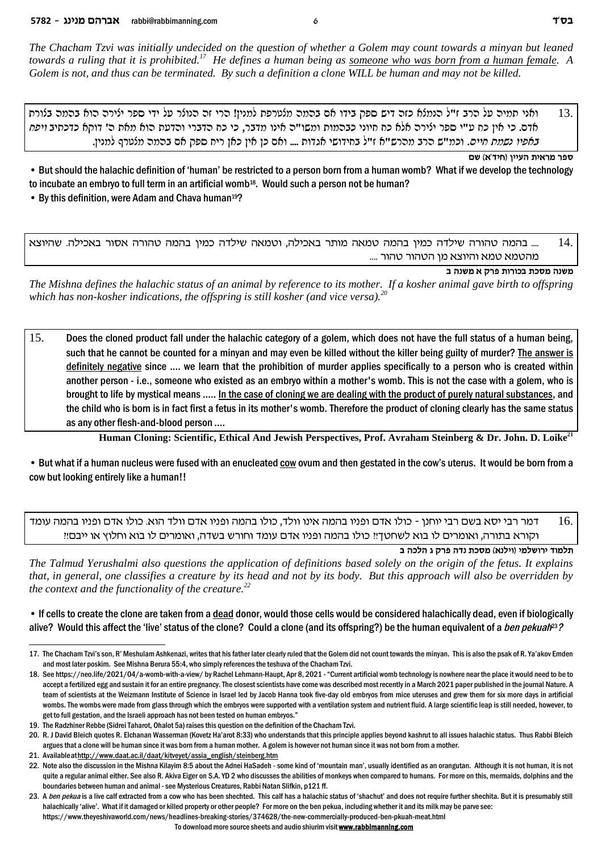The Chacham Tzvi was initially undecided on the question of whether a Golem may count towards a minyan but leaned towards a ruling that it is prohibited.<sup>17</sup> He defines a human being as someone who was born from a human female. A Golem is not, and thus can be terminated. By such a definition a clone WILL be human and may not be killed.

ואני תמיה על הרב ז"ל הנמלא כזה דיש ספק בידו אם בהמה מלטרפת למנין! הרי זה הנולר על ידי ספר ילירה הוא בהמה בלורת 13. אדם. כי אין כח ע"י ספר ילירה אלא כח חיוני כבהמות ומשו"ה אינו מדבר, כי כח הדברי והדעת הוא מאת ה' דוקא כדכתיב *ויפח* באפיו נ*שמת חיים*. וכמ"ש הרב מהרש"א ז"ל בחידושי אגדות .... ואם כן אין כאן ריח ספק אם בהמה מלטרף למנין.

ספר מראית העיין (חיד'א) שם

• But should the halachic definition of 'human' be restricted to a person born from a human womb? What if we develop the technology to incubate an embryo to full term in an artificial womb<sup>18</sup>. Would such a person not be human?

• By this definition, were Adam and Chava human<sup>19</sup>?

.... בהמה טהורה שילדה כמין בהמה טמאה מותר באכילה, וטמאה שילדה כמין בהמה טהורה אסור באכילה. שהיוצא  $14$ מהטמא טמא והיוצא מן הטהור טהור ....

משנה מסכת בכורות פרק א משנה ב

The Mishna defines the halachic status of an animal by reference to its mother. If a kosher animal gave birth to offspring which has non-kosher indications, the offspring is still kosher (and vice versa).<sup>20</sup>

 $15.$ Does the cloned product fall under the halachic category of a golem, which does not have the full status of a human being, such that he cannot be counted for a minyan and may even be killed without the killer being guilty of murder? The answer is definitely negative since .... we learn that the prohibition of murder applies specifically to a person who is created within another person - i.e., someone who existed as an embryo within a mother's womb. This is not the case with a golem, who is brought to life by mystical means ..... In the case of cloning we are dealing with the product of purely natural substances, and the child who is born is in fact first a fetus in its mother's womb. Therefore the product of cloning clearly has the same status as any other flesh-and-blood person ....

Human Cloning: Scientific, Ethical And Jewish Perspectives, Prof. Avraham Steinberg & Dr. John. D. Loike<sup>21</sup>

• But what if a human nucleus were fused with an enucleated cow ovum and then gestated in the cow's uterus. It would be born from a cow but looking entirely like a human!!

דמר רבי יסא בשם רבי יוחנן - כולו אדם ופניו בהמה אינו וולד, כולו בהמה ופניו אדם וולד הוא. כולו אדם ופניו בהמה עומד 16. וקורא בתורה, ואומרים לו בוא לשחטך!! כולו בהמה ופניו אדם עומד וחורש בשדה, ואומרים לו בוא וחלוץ או ייבם!!

תלמוד ירושלמי (וילנא) מסכת נדה פרק ג הלכה ב

The Talmud Yerushalmi also questions the application of definitions based solely on the origin of the fetus. It explains that, in general, one classifies a creature by its head and not by its body. But this approach will also be overridden by the context and the functionality of the creature. $^{22}$ 

. If cells to create the clone are taken from a dead donor, would those cells would be considered halachically dead, even if biologically alive? Would this affect the 'live' status of the clone? Could a clone (and its offspring?) be the human equivalent of a ben pekuah<sup>23</sup>?

To download more source sheets and audio shiurim visit www.rabbimanning.com

<sup>17.</sup> The Chacham Tzvi's son, R' Meshulam Ashkenazi, writes that his father later clearly ruled that the Golem did not count towards the minyan. This is also the psak of R. Ya'akov Emden and most later poskim. See Mishna Berura 55:4, who simply references the teshuva of the Chacham Tzvi.

<sup>18.</sup> See https://neo.life/2021/04/a-womb-with-a-view/ by Rachel Lehmann-Haupt, Apr 8, 2021 - "Current artificial womb technology is nowhere near the place it would need to be to accept a fertilized egg and sustain it for an entire pregnancy. The closest scientists have come was described most recently in a March 2021 paper published in the journal Nature. A team of scientists at the Weizmann Institute of Science in Israel led by Jacob Hanna took five-day old embryos from mice uteruses and grew them for six more days in artificial wombs. The wombs were made from glass through which the embryos were supported with a ventilation system and nutrient fluid. A large scientific leap is still needed, however, to get to full gestation, and the Israeli approach has not been tested on human embryos."

<sup>19.</sup> The Radzhiner Rebbe (Sidrei Taharot, Ohalot 5a) raises this question on the definition of the Chacham Tzvi.

<sup>20.</sup> R. J David Bleich quotes R. Elchanan Wasserman (Kovetz Ha'arot 8:33) who understands that this principle applies beyond kashrut to all issues halachic status. Thus Rabbi Bleich argues that a clone will be human since it was born from a human mother. A golem is however not human since it was not born from a mother.

<sup>21.</sup> Available at http://www.daat.ac.il/daat/kitveyet/assia\_english/steinberg.htm

<sup>22.</sup> Note also the discussion in the Mishna Kilayim 8:5 about the Adnei HaSadeh - some kind of 'mountain man', usually identified as an orangutan. Although it is not human, it is not quite a regular animal either. See also R. Akiva Eiger on S.A. YD 2 who discusses the abilities of monkeys when compared to humans. For more on this, mermaids, dolphins and the boundaries between human and animal - see Mysterious Creatures, Rabbi Natan Slifkin, p121 ff.

<sup>23.</sup> A ben pekua is a live calf extracted from a cow who has been shechted. This calf has a halachic status of 'shachut' and does not require further shechita. But it is presumably still halachically 'alive'. What if it damaged or killed property or other people? For more on the ben pekua, including whether it and its milk may be parve see: https://www.theyeshivaworld.com/news/headlines-breaking-stories/374628/the-new-commercially-produced-ben-pkuah-meat.html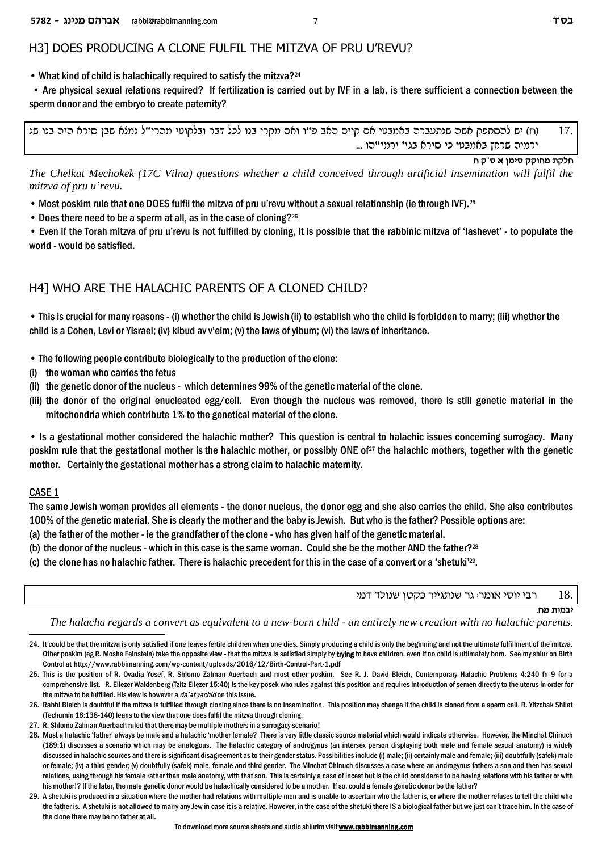### H3] DOES PRODUCING A CLONE FULFIL THE MITZVA OF PRU U'REVU?

• What kind of child is halachically required to satisfy the mitzva?<sup>24</sup>

 • Are physical sexual relations required? If fertilization is carried out by IVF in a lab, is there sufficient a connection between the sperm donor and the embryo to create paternity?

ly epa did `qiq of did did in mind did in the conp did in the cost e e"t ded more est et e"t conp dy" day at t ... ירמיה שרחץ באמבטי כי סירא בגי' ירמי"הו

**g w"q ` oniq wwegn zwlg**

*The Chelkat Mechokek (17C Vilna) questions whether a child conceived through artificial insemination will fulfil the mitzva of pru u'revu.*

• Most poskim rule that one DOES fulfil the mitzva of pru u'revu without a sexual relationship (ie through IVF).<sup>25</sup>

• Does there need to be a sperm at all, as in the case of cloning?<sup>26</sup>

• Even if the Torah mitzva of pru u'revu is not fulfilled by cloning, it is possible that the rabbinic mitzva of 'lashevet' - to populate the world - would be satisfied.

# H4] WHO ARE THE HALACHIC PARENTS OF A CLONED CHILD?

• This is crucial for many reasons - (i) whether the child is Jewish (ii) to establish who the child is forbidden to marry; (iii) whether the child is a Cohen, Levi or Yisrael; (iv) kibud av v'eim; (v) the laws of yibum; (vi) the laws of inheritance.

- The following people contribute biologically to the production of the clone:
- (i) the woman who carries the fetus
- (ii) the genetic donor of the nucleus which determines 99% of the genetic material of the clone.
- (iii) the donor of the original enucleated egg/cell. Even though the nucleus was removed, there is still genetic material in the mitochondria which contribute 1% to the genetical material of the clone.

• Is a gestational mother considered the halachic mother? This question is central to halachic issues concerning surrogacy. Many poskim rule that the gestational mother is the halachic mother, or possibly ONE of<sup>27</sup> the halachic mothers, together with the genetic mother. Certainly the gestational mother has a strong claim to halachic maternity.

### CASE 1

The same Jewish woman provides all elements - the donor nucleus, the donor egg and she also carries the child. She also contributes 100% of the genetic material. She is clearly the mother and the baby is Jewish. But who is the father? Possible options are:

- (a) the father of the mother ie the grandfather of the clone who has given half of the genetic material.
- (b) the donor of the nucleus which in this case is the same woman. Could she be the mother AND the father?<sup>28</sup>
- (c) the clone has no halachic father. There is halachic precedent for this in the case of a convert or a 'shetuki'<sup>29</sup>.

רבי יוסי אומר: גר שנתגייר כקטן שנולד דמי  $18.$ 

**יבמות מח**.

*The halacha regards a convert as equivalent to a new-born child - an entirely new creation with no halachic parents.*

- 24. It could be that the mitzva is only satisfied if one leaves fertile children when one dies. Simply producing a child is only the beginning and not the ultimate fulfillment of the mitzva. Other poskim (eg R. Moshe Feinstein) take the opposite view - that the mitzva is satisfied simply by **trying** to have children, even if no child is ultimately born. See my shiur on Birth Control at http://www.rabbimanning.com/wp-content/uploads/2016/12/Birth-Control-Part-1.pdf
- 25. This is the position of R. Ovadia Yosef, R. Shlomo Zalman Auerbach and most other poskim. See R. J. David Bleich, Contemporary Halachic Problems 4:240 fn 9 for a comprehensive list. R. Eliezer Waldenberg (Tzitz Eliezer 15:40) is the key posek who rules against this position and requires introduction of semen directly to the uterus in order for the mitzva to be fulfilled. His view is however a *da'at yachid* on this issue.
- 26. Rabbi Bleich is doubtful if the mitzva is fulfilled through cloning since there is no insemination. This position may change if the child is cloned from a sperm cell. R. Yitzchak Shilat (Techumin 18:138-140) leans to the view that one does fulfil the mitzva through cloning.
- 27. R. Shlomo Zalman Auerbach ruled that there may be multiple mothers in a surrogacy scenario!
- 28. Must a halachic 'father' always be male and a halachic 'mother female? There is very little classic source material which would indicate otherwise. However, the Minchat Chinuch (189:1) discusses a scenario which may be analogous. The halachic category of androgynus (an intersex person displaying both male and female sexual anatomy) is widely discussed in halachic sources and there is significant disagreement as to their gender status. Possibilities include (i) male; (ii) certainly male and female; (iii) doubtfully (safek) male or female; (iv) a third gender; (v) doubtfully (safek) male, female and third gender. The Minchat Chinuch discusses a case where an androgynus fathers a son and then has sexual relations, using through his female rather than male anatomy, with that son. This is certainly a case of incest but is the child considered to be having relations with his father or with his mother!? If the later, the male genetic donor would be halachically considered to be a mother. If so, could a female genetic donor be the father?
- 29. A shetuki is produced in a situation where the mother had relations with multiple men and is unable to ascertain who the father is, or where the mother refuses to tell the child who the father is. A shetuki is not allowed to marry any Jew in case it is a relative. However, in the case of the shetuki there IS a biological father but we just can't trace him. In the case of the clone there may be no father at all.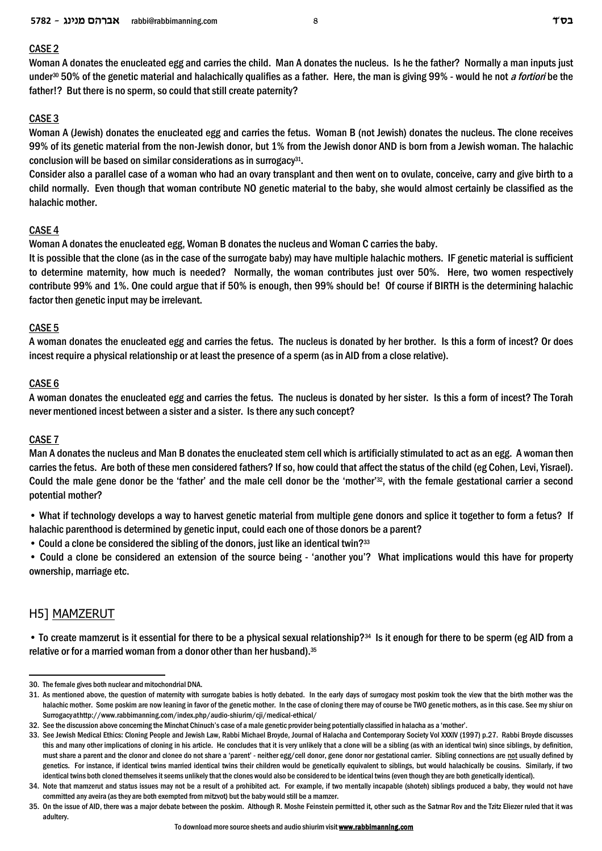### CASE 2

Woman A donates the enucleated egg and carries the child. Man A donates the nucleus. Is he the father? Normally a man inputs just under30 50% of the genetic material and halachically qualifies as a father. Here, the man is giving 99% - would he not *a fortiori* be the father!? But there is no sperm, so could that still create paternity?

### CASE 3

Woman A (Jewish) donates the enucleated egg and carries the fetus. Woman B (not Jewish) donates the nucleus. The clone receives 99% of its genetic material from the non-Jewish donor, but 1% from the Jewish donor AND is born from a Jewish woman. The halachic conclusion will be based on similar considerations as in surrogacy<sup>31</sup>.

Consider also a parallel case of a woman who had an ovary transplant and then went on to ovulate, conceive, carry and give birth to a child normally. Even though that woman contribute NO genetic material to the baby, she would almost certainly be classified as the halachic mother.

### CASE 4

Woman A donates the enucleated egg, Woman B donates the nucleus and Woman C carries the baby.

It is possible that the clone (as in the case of the surrogate baby) may have multiple halachic mothers. IF genetic material is sufficient to determine maternity, how much is needed? Normally, the woman contributes just over 50%. Here, two women respectively contribute 99% and 1%. One could argue that if 50% is enough, then 99% should be! Of course if BIRTH is the determining halachic factor then genetic input may be irrelevant.

### CASE 5

A woman donates the enucleated egg and carries the fetus. The nucleus is donated by her brother. Is this a form of incest? Or does incest require a physical relationship or at least the presence of a sperm (as in AID from a close relative).

### CASE 6

A woman donates the enucleated egg and carries the fetus. The nucleus is donated by her sister. Is this a form of incest? The Torah never mentioned incest between a sister and a sister. Is there any such concept?

### CASE 7

Man A donates the nucleus and Man B donates the enucleated stem cell which is artificially stimulated to act as an egg. A woman then carries the fetus. Are both of these men considered fathers? If so, how could that affect the status of the child (eg Cohen, Levi, Yisrael). Could the male gene donor be the 'father' and the male cell donor be the 'mother'32, with the female gestational carrier a second potential mother?

• What if technology develops a way to harvest genetic material from multiple gene donors and splice it together to form a fetus? If halachic parenthood is determined by genetic input, could each one of those donors be a parent?

• Could a clone be considered the sibling of the donors, just like an identical twin?<sup>33</sup>

• Could a clone be considered an extension of the source being - 'another you'? What implications would this have for property ownership, marriage etc.

# H5] MAMZERUT

• To create mamzerut is it essential for there to be a physical sexual relationship?<sup>34</sup> Is it enough for there to be sperm (eg AID from a relative or for a married woman from a donor other than her husband). 35

<sup>30.</sup> The female gives both nuclear and mitochondrial DNA.

<sup>31.</sup> As mentioned above, the question of maternity with surrogate babies is hotly debated. In the early days of surrogacy most poskim took the view that the birth mother was the halachic mother. Some poskim are now leaning in favor of the genetic mother. In the case of cloning there may of course be TWO genetic mothers, as in this case. See my shiur on Surrogacy at http://www.rabbimanning.com/index.php/audio-shiurim/cji/medical-ethical/

<sup>32.</sup> See the discussion above concerning the Minchat Chinuch's case of a male genetic provider being potentially classified in halacha as a 'mother'.

<sup>33.</sup> See Jewish Medical Ethics: Cloning People and Jewish Law, Rabbi Michael Broyde, Journal of Halacha and Contemporary Society Vol XXXIV (1997) p.27. Rabbi Broyde discusses this and many other implications of cloning in his article. He concludes that it is very unlikely that a clone will be a sibling (as with an identical twin) since siblings, by definition, must share a parent and the clonor and clonee do not share a 'parent' - neither egg/cell donor, gene donor nor gestational carrier. Sibling connections are not usually defined by genetics. For instance, if identical twins married identical twins their children would be genetically equivalent to siblings, but would halachically be cousins. Similarly, if two identical twins both cloned themselves it seems unlikely that the clones would also be considered to be identical twins (even though they are both genetically identical).

<sup>34.</sup> Note that mamzerut and status issues may not be a result of a prohibited act. For example, if two mentally incapable (shoteh) siblings produced a baby, they would not have committed any aveira (as they are both exempted from mitzvot) but the baby would still be a mamzer.

<sup>35.</sup> On the issue of AID, there was a major debate between the poskim. Although R. Moshe Feinstein permitted it, other such as the Satmar Rov and the Tzitz Eliezer ruled that it was adultery.